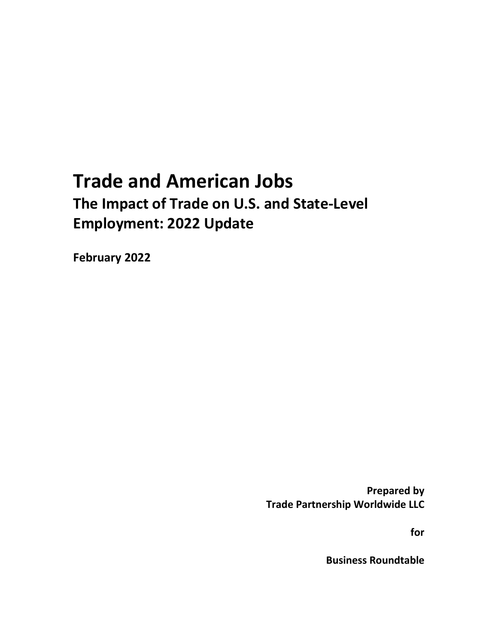## **Trade and American Jobs The Impact of Trade on U.S. and State-Level Employment: 2022 Update**

**February 2022**

**Prepared by Trade Partnership Worldwide LLC**

**for** 

**Business Roundtable**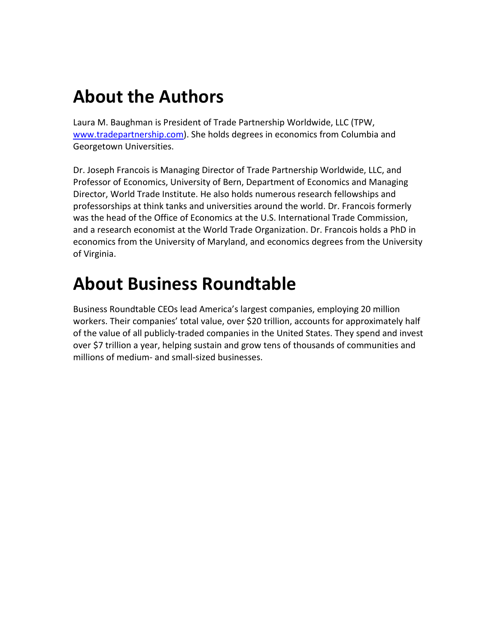## **About the Authors**

Laura M. Baughman is President of Trade Partnership Worldwide, LLC (TPW, [www.tradepartnership.com\)](http://www.tradepartnership.com/). She holds degrees in economics from Columbia and Georgetown Universities.

Dr. Joseph Francois is Managing Director of Trade Partnership Worldwide, LLC, and Professor of Economics, University of Bern, Department of Economics and Managing Director, World Trade Institute. He also holds numerous research fellowships and professorships at think tanks and universities around the world. Dr. Francois formerly was the head of the Office of Economics at the U.S. International Trade Commission, and a research economist at the World Trade Organization. Dr. Francois holds a PhD in economics from the University of Maryland, and economics degrees from the University of Virginia.

# **About Business Roundtable**

Business Roundtable CEOs lead America's largest companies, employing 20 million workers. Their companies' total value, over \$20 trillion, accounts for approximately half of the value of all publicly-traded companies in the United States. They spend and invest over \$7 trillion a year, helping sustain and grow tens of thousands of communities and millions of medium- and small-sized businesses.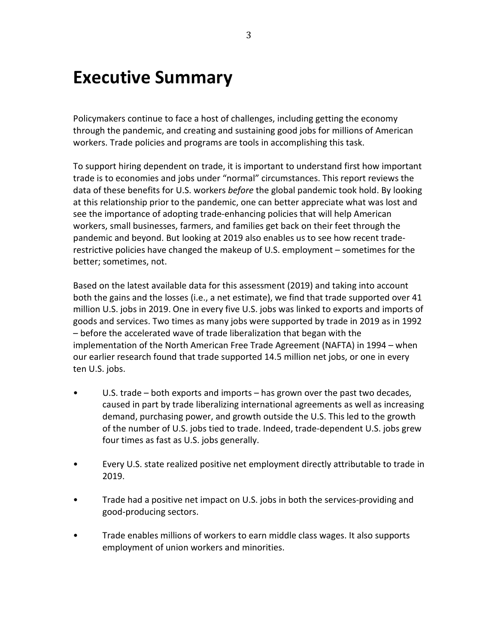## **Executive Summary**

Policymakers continue to face a host of challenges, including getting the economy through the pandemic, and creating and sustaining good jobs for millions of American workers. Trade policies and programs are tools in accomplishing this task.

To support hiring dependent on trade, it is important to understand first how important trade is to economies and jobs under "normal" circumstances. This report reviews the data of these benefits for U.S. workers *before* the global pandemic took hold. By looking at this relationship prior to the pandemic, one can better appreciate what was lost and see the importance of adopting trade-enhancing policies that will help American workers, small businesses, farmers, and families get back on their feet through the pandemic and beyond. But looking at 2019 also enables us to see how recent traderestrictive policies have changed the makeup of U.S. employment – sometimes for the better; sometimes, not.

Based on the latest available data for this assessment (2019) and taking into account both the gains and the losses (i.e., a net estimate), we find that trade supported over 41 million U.S. jobs in 2019. One in every five U.S. jobs was linked to exports and imports of goods and services. Two times as many jobs were supported by trade in 2019 as in 1992 – before the accelerated wave of trade liberalization that began with the implementation of the North American Free Trade Agreement (NAFTA) in 1994 – when our earlier research found that trade supported 14.5 million net jobs, or one in every ten U.S. jobs.

- U.S. trade both exports and imports has grown over the past two decades, caused in part by trade liberalizing international agreements as well as increasing demand, purchasing power, and growth outside the U.S. This led to the growth of the number of U.S. jobs tied to trade. Indeed, trade-dependent U.S. jobs grew four times as fast as U.S. jobs generally.
- Every U.S. state realized positive net employment directly attributable to trade in 2019.
- Trade had a positive net impact on U.S. jobs in both the services-providing and good-producing sectors.
- Trade enables millions of workers to earn middle class wages. It also supports employment of union workers and minorities.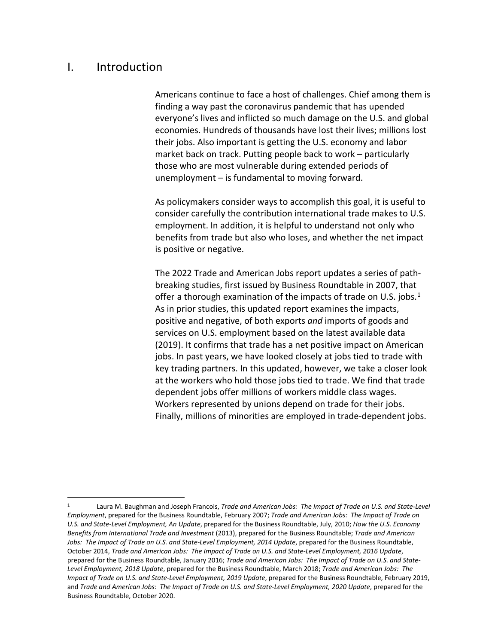## I. Introduction

Americans continue to face a host of challenges. Chief among them is finding a way past the coronavirus pandemic that has upended everyone's lives and inflicted so much damage on the U.S. and global economies. Hundreds of thousands have lost their lives; millions lost their jobs. Also important is getting the U.S. economy and labor market back on track. Putting people back to work – particularly those who are most vulnerable during extended periods of unemployment – is fundamental to moving forward.

As policymakers consider ways to accomplish this goal, it is useful to consider carefully the contribution international trade makes to U.S. employment. In addition, it is helpful to understand not only who benefits from trade but also who loses, and whether the net impact is positive or negative.

The 2022 Trade and American Jobs report updates a series of pathbreaking studies, first issued by Business Roundtable in 2007, that offer a thorough examination of the impacts of trade on U.S. jobs.<sup>[1](#page-3-0)</sup> As in prior studies, this updated report examines the impacts, positive and negative, of both exports *and* imports of goods and services on U.S. employment based on the latest available data (2019). It confirms that trade has a net positive impact on American jobs. In past years, we have looked closely at jobs tied to trade with key trading partners. In this updated, however, we take a closer look at the workers who hold those jobs tied to trade. We find that trade dependent jobs offer millions of workers middle class wages. Workers represented by unions depend on trade for their jobs. Finally, millions of minorities are employed in trade-dependent jobs.

<span id="page-3-0"></span><sup>1</sup> Laura M. Baughman and Joseph Francois, *Trade and American Jobs: The Impact of Trade on U.S. and State-Level Employment*, prepared for the Business Roundtable, February 2007; *Trade and American Jobs: The Impact of Trade on U.S. and State-Level Employment, An Update*, prepared for the Business Roundtable, July, 2010; *How the U.S. Economy Benefits from International Trade and Investment* (2013), prepared for the Business Roundtable; *Trade and American Jobs: The Impact of Trade on U.S. and State-Level Employment, 2014 Update*, prepared for the Business Roundtable, October 2014, *Trade and American Jobs: The Impact of Trade on U.S. and State-Level Employment, 2016 Update*, prepared for the Business Roundtable, January 2016; *Trade and American Jobs: The Impact of Trade on U.S. and State-Level Employment, 2018 Update*, prepared for the Business Roundtable, March 2018; *Trade and American Jobs: The Impact of Trade on U.S. and State-Level Employment, 2019 Update*, prepared for the Business Roundtable, February 2019, and *Trade and American Jobs: The Impact of Trade on U.S. and State-Level Employment, 2020 Update*, prepared for the Business Roundtable, October 2020.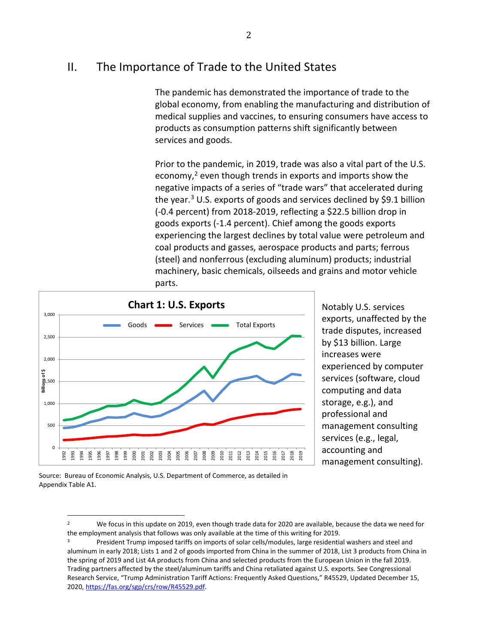## II. The Importance of Trade to the United States

The pandemic has demonstrated the importance of trade to the global economy, from enabling the manufacturing and distribution of medical supplies and vaccines, to ensuring consumers have access to products as consumption patterns shift significantly between services and goods.

Prior to the pandemic, in 2019, trade was also a vital part of the U.S. economy, [2](#page-4-0) even though trends in exports and imports show the negative impacts of a series of "trade wars" that accelerated during the year.<sup>[3](#page-4-1)</sup> U.S. exports of goods and services declined by \$9.1 billion (-0.4 percent) from 2018-2019, reflecting a \$22.5 billion drop in goods exports (-1.4 percent). Chief among the goods exports experiencing the largest declines by total value were petroleum and coal products and gasses, aerospace products and parts; ferrous (steel) and nonferrous (excluding aluminum) products; industrial machinery, basic chemicals, oilseeds and grains and motor vehicle parts.



Notably U.S. services exports, unaffected by the trade disputes, increased by \$13 billion. Large increases were experienced by computer services (software, cloud computing and data storage, e.g.), and professional and management consulting services (e.g., legal, accounting and management consulting).

<span id="page-4-0"></span>Source: Bureau of Economic Analysis, U.S. Department of Commerce, as detailed in Appendix Table A1.

<sup>2</sup> We focus in this update on 2019, even though trade data for 2020 are available, because the data we need for the employment analysis that follows was only available at the time of this writing for 2019.<br><sup>3</sup> President Trump imposed tariffs on imports of solar cells/modules, large residential washers and steel and

<span id="page-4-1"></span>aluminum in early 2018; Lists 1 and 2 of goods imported from China in the summer of 2018, List 3 products from China in the spring of 2019 and List 4A products from China and selected products from the European Union in the fall 2019. Trading partners affected by the steel/aluminum tariffs and China retaliated against U.S. exports. See Congressional Research Service, "Trump Administration Tariff Actions: Frequently Asked Questions," R45529, Updated December 15, 2020[, https://fas.org/sgp/crs/row/R45529.pdf.](https://fas.org/sgp/crs/row/R45529.pdf)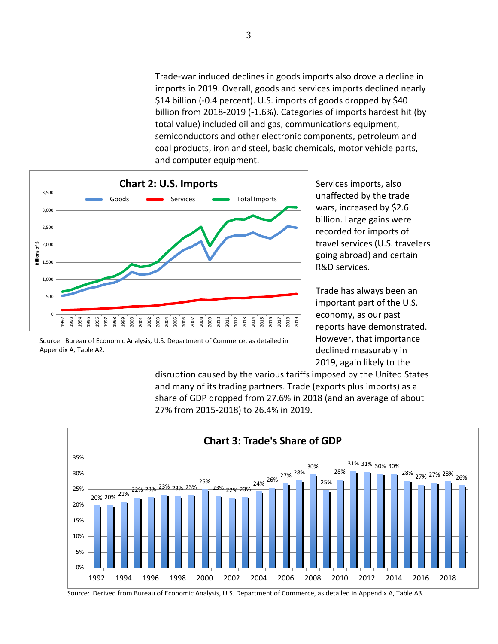Trade-war induced declines in goods imports also drove a decline in imports in 2019. Overall, goods and services imports declined nearly \$14 billion (-0.4 percent). U.S. imports of goods dropped by \$40 billion from 2018-2019 (-1.6%). Categories of imports hardest hit (by total value) included oil and gas, communications equipment, semiconductors and other electronic components, petroleum and coal products, iron and steel, basic chemicals, motor vehicle parts, and computer equipment.



Source: Bureau of Economic Analysis, U.S. Department of Commerce, as detailed in Appendix A, Table A2.

Services imports, also unaffected by the trade wars, increased by \$2.6 billion. Large gains were recorded for imports of travel services (U.S. travelers going abroad) and certain R&D services.

Trade has always been an important part of the U.S. economy, as our past reports have demonstrated. However, that importance declined measurably in 2019, again likely to the

disruption caused by the various tariffs imposed by the United States and many of its trading partners. Trade (exports plus imports) as a share of GDP dropped from 27.6% in 2018 (and an average of about 27% from 2015-2018) to 26.4% in 2019.



Source: Derived from Bureau of Economic Analysis, U.S. Department of Commerce, as detailed in Appendix A, Table A3.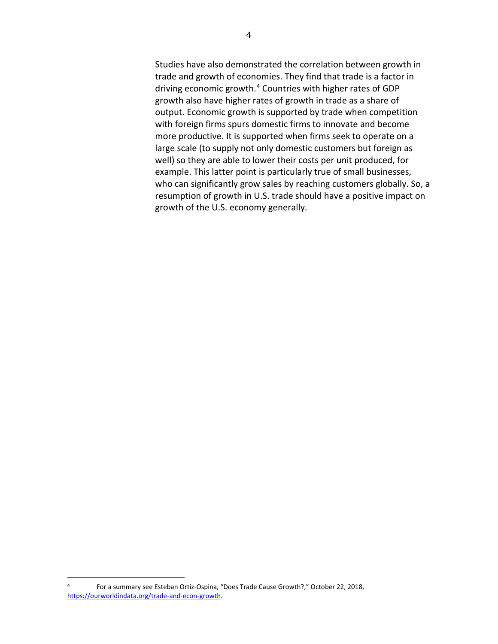Studies have also demonstrated the correlation between growth in trade and growth of economies. They find that trade is a factor in driving economic growth.[4](#page-6-0) Countries with higher rates of GDP growth also have higher rates of growth in trade as a share of output. Economic growth is supported by trade when competition with foreign firms spurs domestic firms to innovate and become more productive. It is supported when firms seek to operate on a large scale (to supply not only domestic customers but foreign as well) so they are able to lower their costs per unit produced, for example. This latter point is particularly true of small businesses, who can significantly grow sales by reaching customers globally. So, a resumption of growth in U.S. trade should have a positive impact on growth of the U.S. economy generally.

<span id="page-6-0"></span><sup>4</sup> For a summary see Esteban Ortiz-Ospina, "Does Trade Cause Growth?," October 22, 2018, [https://ourworldindata.org/trade-and-econ-growth.](https://ourworldindata.org/trade-and-econ-growth)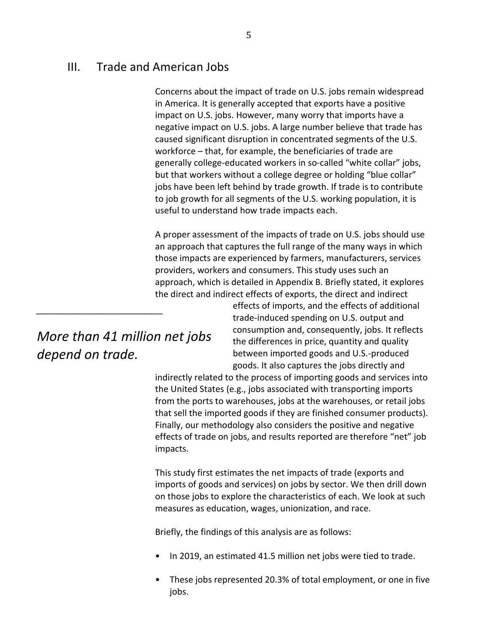## III. Trade and American Jobs

Concerns about the impact of trade on U.S. jobs remain widespread in America. It is generally accepted that exports have a positive impact on U.S. jobs. However, many worry that imports have a negative impact on U.S. jobs. A large number believe that trade has caused significant disruption in concentrated segments of the U.S. workforce – that, for example, the beneficiaries of trade are generally college-educated workers in so-called "white collar" jobs, but that workers without a college degree or holding "blue collar" jobs have been left behind by trade growth. If trade is to contribute to job growth for all segments of the U.S. working population, it is useful to understand how trade impacts each.

A proper assessment of the impacts of trade on U.S. jobs should use an approach that captures the full range of the many ways in which those impacts are experienced by farmers, manufacturers, services providers, workers and consumers. This study uses such an approach, which is detailed in Appendix B. Briefly stated, it explores the direct and indirect effects of exports, the direct and indirect

*More than 41 million net jobs depend on trade.*

*\_\_\_\_\_\_\_\_\_\_\_\_\_\_\_\_\_\_\_\_\_\_\_\_\_\_*

effects of imports, and the effects of additional trade-induced spending on U.S. output and consumption and, consequently, jobs. It reflects the differences in price, quantity and quality between imported goods and U.S.-produced goods. It also captures the jobs directly and

indirectly related to the process of importing goods and services into the United States (e.g., jobs associated with transporting imports from the ports to warehouses, jobs at the warehouses, or retail jobs that sell the imported goods if they are finished consumer products). Finally, our methodology also considers the positive and negative effects of trade on jobs, and results reported are therefore "net" job impacts.

This study first estimates the net impacts of trade (exports and imports of goods and services) on jobs by sector. We then drill down on those jobs to explore the characteristics of each. We look at such measures as education, wages, unionization, and race.

Briefly, the findings of this analysis are as follows:

- In 2019, an estimated 41.5 million net jobs were tied to trade.
- These jobs represented 20.3% of total employment, or one in five jobs.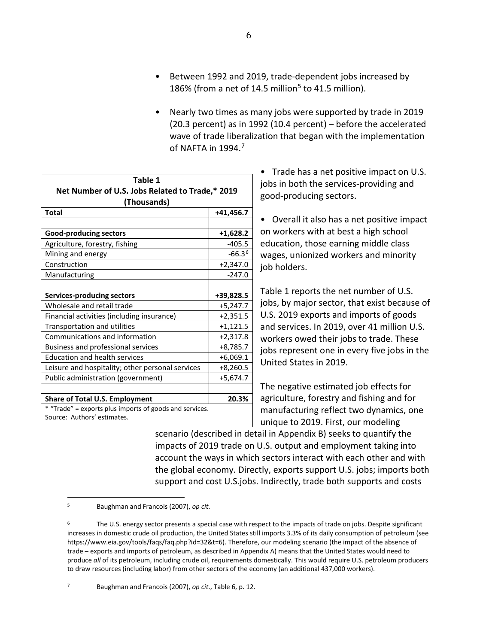• Nearly two times as many jobs were supported by trade in 2019 (20.3 percent) as in 1992 (10.4 percent) – before the accelerated wave of trade liberalization that began with the implementation of NAFTA in  $1994.<sup>7</sup>$  $1994.<sup>7</sup>$  $1994.<sup>7</sup>$ 

| Table 1                                                 |             |  |
|---------------------------------------------------------|-------------|--|
| Net Number of U.S. Jobs Related to Trade,* 2019         |             |  |
| (Thousands)                                             |             |  |
| Total                                                   | $+41,456.7$ |  |
|                                                         |             |  |
| <b>Good-producing sectors</b>                           | $+1,628.2$  |  |
| Agriculture, forestry, fishing                          | $-405.5$    |  |
| Mining and energy                                       | $-66.36$    |  |
| Construction                                            | $+2,347.0$  |  |
| Manufacturing                                           | $-247.0$    |  |
|                                                         |             |  |
| <b>Services-producing sectors</b>                       | +39,828.5   |  |
| Wholesale and retail trade                              | $+5,247.7$  |  |
| Financial activities (including insurance)              | $+2,351.5$  |  |
| Transportation and utilities                            | $+1,121.5$  |  |
| Communications and information                          | $+2,317.8$  |  |
| Business and professional services                      | $+8,785.7$  |  |
| <b>Education and health services</b>                    | $+6,069.1$  |  |
| Leisure and hospitality; other personal services        | $+8,260.5$  |  |
| Public administration (government)                      | $+5,674.7$  |  |
|                                                         |             |  |
| <b>Share of Total U.S. Employment</b>                   | 20.3%       |  |
| * "Trade" = exports plus imports of goods and services. |             |  |
| Source: Authors' estimates.                             |             |  |

• Trade has a net positive impact on U.S. jobs in both the services-providing and good-producing sectors.

• Overall it also has a net positive impact on workers with at best a high school education, those earning middle class wages, unionized workers and minority job holders.

Table 1 reports the net number of U.S. jobs, by major sector, that exist because of U.S. 2019 exports and imports of goods and services. In 2019, over 41 million U.S. workers owed their jobs to trade. These jobs represent one in every five jobs in the United States in 2019.

The negative estimated job effects for agriculture, forestry and fishing and for manufacturing reflect two dynamics, one unique to 2019. First, our modeling

scenario (described in detail in Appendix B) seeks to quantify the impacts of 2019 trade on U.S. output and employment taking into account the ways in which sectors interact with each other and with the global economy. Directly, exports support U.S. jobs; imports both support and cost U.S.jobs. Indirectly, trade both supports and costs

<span id="page-8-0"></span><sup>5</sup> Baughman and Francois (2007), *op cit*.

<span id="page-8-2"></span><span id="page-8-1"></span><sup>&</sup>lt;sup>6</sup> The U.S. energy sector presents a special case with respect to the impacts of trade on jobs. Despite significant increases in domestic crude oil production, the United States still imports 3.3% of its daily consumption of petroleum (see https://www.eia.gov/tools/faqs/faq.php?id=32&t=6). Therefore, our modeling scenario (the impact of the absence of trade – exports and imports of petroleum, as described in Appendix A) means that the United States would need to produce *all* of its petroleum, including crude oil, requirements domestically. This would require U.S. petroleum producers to draw resources (including labor) from other sectors of the economy (an additional 437,000 workers).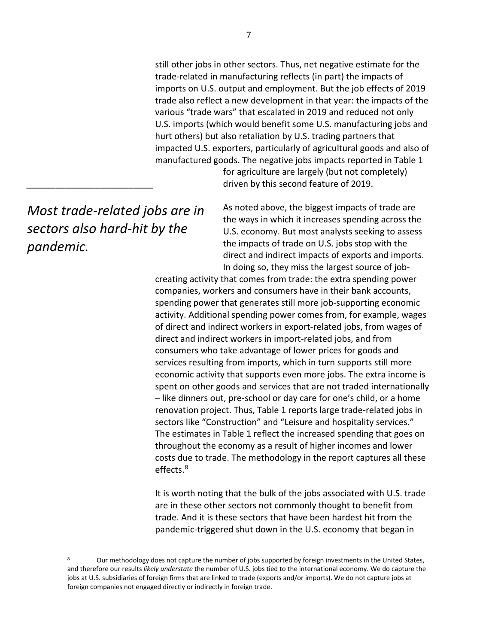still other jobs in other sectors. Thus, net negative estimate for the trade-related in manufacturing reflects (in part) the impacts of imports on U.S. output and employment. But the job effects of 2019 trade also reflect a new development in that year: the impacts of the various "trade wars" that escalated in 2019 and reduced not only U.S. imports (which would benefit some U.S. manufacturing jobs and hurt others) but also retaliation by U.S. trading partners that impacted U.S. exporters, particularly of agricultural goods and also of manufactured goods. The negative jobs impacts reported in Table 1

for agriculture are largely (but not completely) driven by this second feature of 2019.

As noted above, the biggest impacts of trade are the ways in which it increases spending across the U.S. economy. But most analysts seeking to assess the impacts of trade on U.S. jobs stop with the direct and indirect impacts of exports and imports. In doing so, they miss the largest source of job-

creating activity that comes from trade: the extra spending power companies, workers and consumers have in their bank accounts, spending power that generates still more job-supporting economic activity. Additional spending power comes from, for example, wages of direct and indirect workers in export-related jobs, from wages of direct and indirect workers in import-related jobs, and from consumers who take advantage of lower prices for goods and services resulting from imports, which in turn supports still more economic activity that supports even more jobs. The extra income is spent on other goods and services that are not traded internationally – like dinners out, pre-school or day care for one's child, or a home renovation project. Thus, Table 1 reports large trade-related jobs in sectors like "Construction" and "Leisure and hospitality services." The estimates in Table 1 reflect the increased spending that goes on throughout the economy as a result of higher incomes and lower costs due to trade. The methodology in the report captures all these effects.[8](#page-9-0)

It is worth noting that the bulk of the jobs associated with U.S. trade are in these other sectors not commonly thought to benefit from trade. And it is these sectors that have been hardest hit from the pandemic-triggered shut down in the U.S. economy that began in

*Most trade-related jobs are in sectors also hard-hit by the pandemic.*

*\_\_\_\_\_\_\_\_\_\_\_\_\_\_\_\_\_\_\_\_\_\_\_\_\_\_*

<span id="page-9-0"></span>Our methodology does not capture the number of jobs supported by foreign investments in the United States, and therefore our results *likely understate* the number of U.S. jobs tied to the international economy. We do capture the jobs at U.S. subsidiaries of foreign firms that are linked to trade (exports and/or imports). We do not capture jobs at foreign companies not engaged directly or indirectly in foreign trade.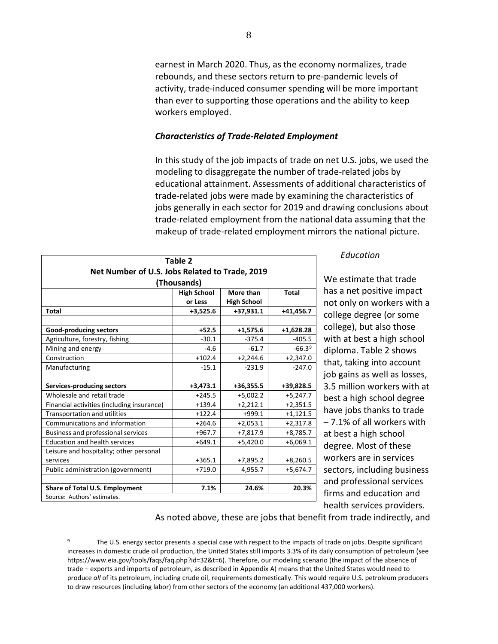earnest in March 2020. Thus, as the economy normalizes, trade rebounds, and these sectors return to pre-pandemic levels of activity, trade-induced consumer spending will be more important than ever to supporting those operations and the ability to keep workers employed.

## *Characteristics of Trade-Related Employment*

In this study of the job impacts of trade on net U.S. jobs, we used the modeling to disaggregate the number of trade-related jobs by educational attainment. Assessments of additional characteristics of trade-related jobs were made by examining the characteristics of jobs generally in each sector for 2019 and drawing conclusions about trade-related employment from the national data assuming that the makeup of trade-related employment mirrors the national picture.

| Table 2                                        |                    |                    |              |
|------------------------------------------------|--------------------|--------------------|--------------|
| Net Number of U.S. Jobs Related to Trade, 2019 |                    |                    |              |
|                                                | (Thousands)        |                    |              |
|                                                | <b>High School</b> | More than          | <b>Total</b> |
|                                                | or Less            | <b>High School</b> |              |
| <b>Total</b>                                   | $+3,525.6$         | +37,931.1          | $+41,456.7$  |
|                                                |                    |                    |              |
| Good-producing sectors                         | $+52.5$            | $+1,575.6$         | $+1,628.28$  |
| Agriculture, forestry, fishing                 | $-30.1$            | $-375.4$           | $-405.5$     |
| Mining and energy                              | $-4.6$             | $-61.7$            | $-66.39$     |
| Construction                                   | $+102.4$           | $+2,244.6$         | $+2,347.0$   |
| Manufacturing                                  | $-15.1$            | $-231.9$           | $-247.0$     |
|                                                |                    |                    |              |
| <b>Services-producing sectors</b>              | $+3,473.1$         | +36,355.5          | +39,828.5    |
| Wholesale and retail trade                     | $+245.5$           | $+5,002.2$         | $+5,247.7$   |
| Financial activities (including insurance)     | $+139.4$           | $+2,212.1$         | $+2,351.5$   |
| <b>Transportation and utilities</b>            | $+122.4$           | $+999.1$           | $+1,121.5$   |
| Communications and information                 | $+264.6$           | $+2,053.1$         | $+2,317.8$   |
| Business and professional services             | $+967.7$           | $+7,817.9$         | $+8,785.7$   |
| <b>Education and health services</b>           | $+649.1$           | $+5,420.0$         | $+6,069.1$   |
| Leisure and hospitality; other personal        |                    |                    |              |
| services                                       | $+365.1$           | $+7,895.2$         | $+8,260.5$   |
| Public administration (government)             | $+719.0$           | 4,955.7            | $+5,674.7$   |
|                                                |                    |                    |              |
| <b>Share of Total U.S. Employment</b>          | 7.1%               | 24.6%              | 20.3%        |
| Source: Authors' estimates.                    |                    |                    |              |

#### *Education*

We estimate that trade has a net positive impact not only on workers with a college degree (or some college), but also those with at best a high school diploma. Table 2 shows that, taking into account job gains as well as losses, 3.5 million workers with at best a high school degree have jobs thanks to trade – 7.1% of all workers with at best a high school degree. Most of these workers are in services sectors, including business and professional services firms and education and health services providers.

As noted above, these are jobs that benefit from trade indirectly, and

<span id="page-10-0"></span>The U.S. energy sector presents a special case with respect to the impacts of trade on jobs. Despite significant increases in domestic crude oil production, the United States still imports 3.3% of its daily consumption of petroleum (see https://www.eia.gov/tools/faqs/faq.php?id=32&t=6). Therefore, our modeling scenario (the impact of the absence of trade – exports and imports of petroleum, as described in Appendix A) means that the United States would need to produce *all* of its petroleum, including crude oil, requirements domestically. This would require U.S. petroleum producers to draw resources (including labor) from other sectors of the economy (an additional 437,000 workers).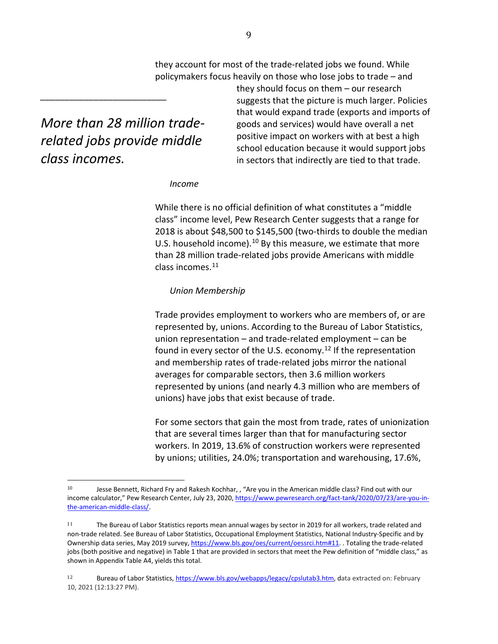they account for most of the trade-related jobs we found. While policymakers focus heavily on those who lose jobs to trade – and

*More than 28 million traderelated jobs provide middle class incomes.*

*\_\_\_\_\_\_\_\_\_\_\_\_\_\_\_\_\_\_\_\_\_\_\_\_\_\_*

they should focus on them – our research suggests that the picture is much larger. Policies that would expand trade (exports and imports of goods and services) would have overall a net positive impact on workers with at best a high school education because it would support jobs in sectors that indirectly are tied to that trade.

#### *Income*

While there is no official definition of what constitutes a "middle class" income level, Pew Research Center suggests that a range for 2018 is about \$48,500 to \$145,500 (two-thirds to double the median U.S. household income).<sup>[10](#page-11-0)</sup> By this measure, we estimate that more than 28 million trade-related jobs provide Americans with middle class incomes.[11](#page-11-1)

#### *Union Membership*

Trade provides employment to workers who are members of, or are represented by, unions. According to the Bureau of Labor Statistics, union representation – and trade-related employment – can be found in every sector of the U.S. economy.<sup>[12](#page-11-2)</sup> If the representation and membership rates of trade-related jobs mirror the national averages for comparable sectors, then 3.6 million workers represented by unions (and nearly 4.3 million who are members of unions) have jobs that exist because of trade.

For some sectors that gain the most from trade, rates of unionization that are several times larger than that for manufacturing sector workers. In 2019, 13.6% of construction workers were represented by unions; utilities, 24.0%; transportation and warehousing, 17.6%,

<span id="page-11-0"></span><sup>10</sup> Jesse Bennett, Richard Fry and Rakesh Kochhar, , "Are you in the American middle class? Find out with our income calculator," Pew Research Center, July 23, 2020[, https://www.pewresearch.org/fact-tank/2020/07/23/are-you-in](https://www.pewresearch.org/fact-tank/2020/07/23/are-you-in-the-american-middle-class/)[the-american-middle-class/.](https://www.pewresearch.org/fact-tank/2020/07/23/are-you-in-the-american-middle-class/)

<span id="page-11-1"></span><sup>11</sup> The Bureau of Labor Statistics reports mean annual wages by sector in 2019 for all workers, trade related and non-trade related. See Bureau of Labor Statistics, Occupational Employment Statistics, National Industry-Specific and by Ownership data series, May 2019 survey[, https://www.bls.gov/oes/current/oessrci.htm#11.](https://www.bls.gov/oes/current/oessrci.htm#11) . Totaling the trade-related jobs (both positive and negative) in Table 1 that are provided in sectors that meet the Pew definition of "middle class," as shown in Appendix Table A4, yields this total.

<span id="page-11-2"></span><sup>12</sup> Bureau of Labor Statistics, [https://www.bls.gov/webapps/legacy/cpslutab3.htm,](https://www.bls.gov/webapps/legacy/cpslutab3.htm) data extracted on: February 10, 2021 (12:13:27 PM).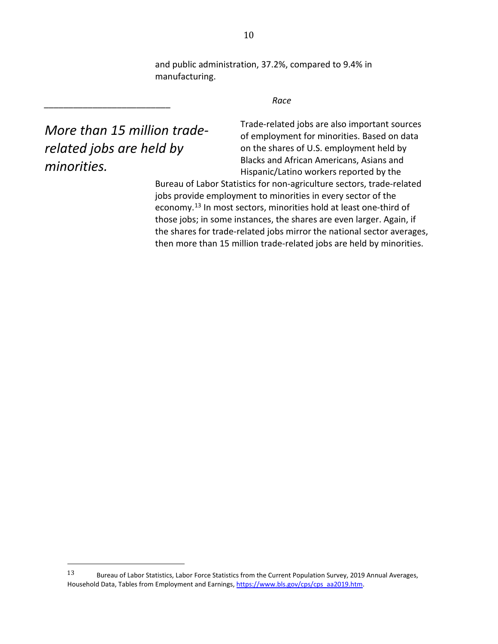and public administration, 37.2%, compared to 9.4% in manufacturing.

*Race*

*More than 15 million traderelated jobs are held by minorities.*

*\_\_\_\_\_\_\_\_\_\_\_\_\_\_\_\_\_\_\_\_\_\_\_\_\_\_*

Trade-related jobs are also important sources of employment for minorities. Based on data on the shares of U.S. employment held by Blacks and African Americans, Asians and Hispanic/Latino workers reported by the

Bureau of Labor Statistics for non-agriculture sectors, trade-related jobs provide employment to minorities in every sector of the economy.[13](#page-12-0) In most sectors, minorities hold at least one-third of those jobs; in some instances, the shares are even larger. Again, if the shares for trade-related jobs mirror the national sector averages, then more than 15 million trade-related jobs are held by minorities.

<span id="page-12-0"></span><sup>13</sup> Bureau of Labor Statistics, Labor Force Statistics from the Current Population Survey, 2019 Annual Averages, Household Data, Tables from Employment and Earnings, [https://www.bls.gov/cps/cps\\_aa2019.htm.](https://www.bls.gov/cps/cps_aa2019.htm)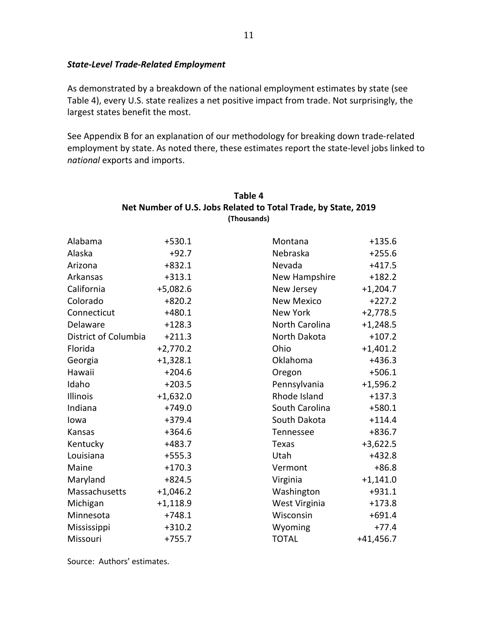### *State-Level Trade-Related Employment*

As demonstrated by a breakdown of the national employment estimates by state (see Table 4), every U.S. state realizes a net positive impact from trade. Not surprisingly, the largest states benefit the most.

See Appendix B for an explanation of our methodology for breaking down trade-related employment by state. As noted there, these estimates report the state-level jobs linked to *national* exports and imports.

| Alabama              | $+530.1$   | Montana           | $+135.6$    |
|----------------------|------------|-------------------|-------------|
| Alaska               | $+92.7$    | Nebraska          | $+255.6$    |
| Arizona              | $+832.1$   | Nevada            | $+417.5$    |
| Arkansas             | $+313.1$   | New Hampshire     | $+182.2$    |
| California           | $+5,082.6$ | New Jersey        | $+1,204.7$  |
| Colorado             | $+820.2$   | <b>New Mexico</b> | $+227.2$    |
| Connecticut          | $+480.1$   | New York          | $+2,778.5$  |
| Delaware             | $+128.3$   | North Carolina    | $+1,248.5$  |
| District of Columbia | $+211.3$   | North Dakota      | $+107.2$    |
| Florida              | $+2,770.2$ | Ohio              | $+1,401.2$  |
| Georgia              | $+1,328.1$ | Oklahoma          | $+436.3$    |
| Hawaii               | $+204.6$   | Oregon            | $+506.1$    |
| Idaho                | $+203.5$   | Pennsylvania      | $+1,596.2$  |
| Illinois             | $+1,632.0$ | Rhode Island      | $+137.3$    |
| Indiana              | $+749.0$   | South Carolina    | $+580.1$    |
| lowa                 | $+379.4$   | South Dakota      | $+114.4$    |
| Kansas               | $+364.6$   | Tennessee         | $+836.7$    |
| Kentucky             | $+483.7$   | Texas             | $+3,622.5$  |
| Louisiana            | $+555.3$   | Utah              | $+432.8$    |
| Maine                | $+170.3$   | Vermont           | $+86.8$     |
| Maryland             | $+824.5$   | Virginia          | $+1,141.0$  |
| Massachusetts        | $+1,046.2$ | Washington        | $+931.1$    |
| Michigan             | $+1,118.9$ | West Virginia     | $+173.8$    |
| Minnesota            | $+748.1$   | Wisconsin         | $+691.4$    |
| Mississippi          | $+310.2$   | Wyoming           | $+77.4$     |
| Missouri             | $+755.7$   | <b>TOTAL</b>      | $+41,456.7$ |

## **Table 4 Net Number of U.S. Jobs Related to Total Trade, by State, 2019 (Thousands)**

Source: Authors' estimates.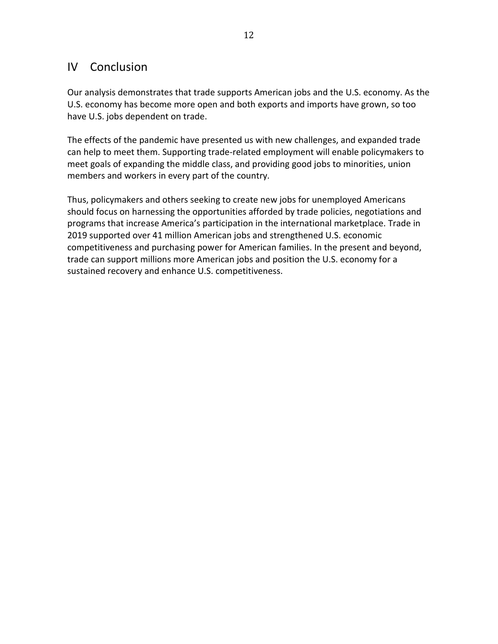## IV Conclusion

Our analysis demonstrates that trade supports American jobs and the U.S. economy. As the U.S. economy has become more open and both exports and imports have grown, so too have U.S. jobs dependent on trade.

The effects of the pandemic have presented us with new challenges, and expanded trade can help to meet them. Supporting trade-related employment will enable policymakers to meet goals of expanding the middle class, and providing good jobs to minorities, union members and workers in every part of the country.

Thus, policymakers and others seeking to create new jobs for unemployed Americans should focus on harnessing the opportunities afforded by trade policies, negotiations and programs that increase America's participation in the international marketplace. Trade in 2019 supported over 41 million American jobs and strengthened U.S. economic competitiveness and purchasing power for American families. In the present and beyond, trade can support millions more American jobs and position the U.S. economy for a sustained recovery and enhance U.S. competitiveness.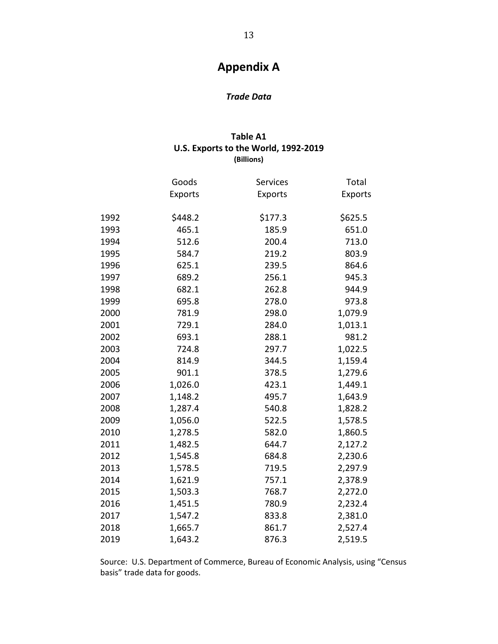## **Appendix A**

## *Trade Data*

## **Table A1 U.S. Exports to the World, 1992-2019 (Billions)**

|      | Goods          | Services       | Total          |
|------|----------------|----------------|----------------|
|      | <b>Exports</b> | <b>Exports</b> | <b>Exports</b> |
| 1992 | \$448.2        | \$177.3        | \$625.5        |
| 1993 | 465.1          | 185.9          | 651.0          |
| 1994 | 512.6          | 200.4          | 713.0          |
| 1995 | 584.7          | 219.2          | 803.9          |
| 1996 | 625.1          | 239.5          | 864.6          |
| 1997 | 689.2          | 256.1          | 945.3          |
| 1998 | 682.1          | 262.8          | 944.9          |
| 1999 | 695.8          | 278.0          | 973.8          |
| 2000 | 781.9          | 298.0          | 1,079.9        |
| 2001 | 729.1          | 284.0          | 1,013.1        |
| 2002 | 693.1          | 288.1          | 981.2          |
| 2003 | 724.8          | 297.7          | 1,022.5        |
| 2004 | 814.9          | 344.5          | 1,159.4        |
| 2005 | 901.1          | 378.5          | 1,279.6        |
| 2006 | 1,026.0        | 423.1          | 1,449.1        |
| 2007 | 1,148.2        | 495.7          | 1,643.9        |
| 2008 | 1,287.4        | 540.8          | 1,828.2        |
| 2009 | 1,056.0        | 522.5          | 1,578.5        |
| 2010 | 1,278.5        | 582.0          | 1,860.5        |
| 2011 | 1,482.5        | 644.7          | 2,127.2        |
| 2012 | 1,545.8        | 684.8          | 2,230.6        |
| 2013 | 1,578.5        | 719.5          | 2,297.9        |
| 2014 | 1,621.9        | 757.1          | 2,378.9        |
| 2015 | 1,503.3        | 768.7          | 2,272.0        |
| 2016 | 1,451.5        | 780.9          | 2,232.4        |
| 2017 | 1,547.2        | 833.8          | 2,381.0        |
| 2018 | 1,665.7        | 861.7          | 2,527.4        |
| 2019 | 1,643.2        | 876.3          | 2,519.5        |

Source: U.S. Department of Commerce, Bureau of Economic Analysis, using "Census basis" trade data for goods.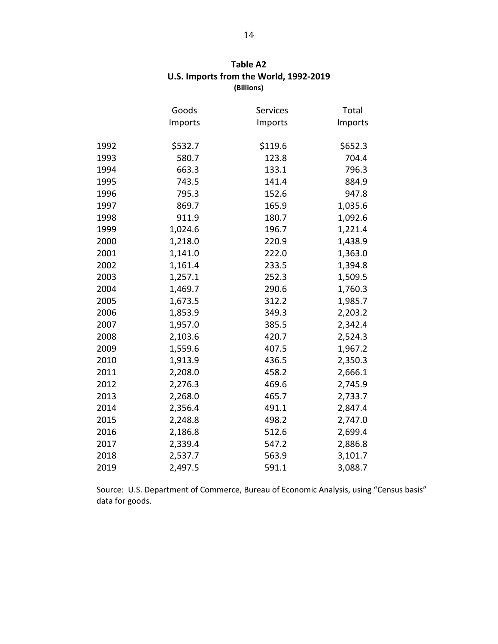| Table A2                               |
|----------------------------------------|
| U.S. Imports from the World, 1992-2019 |
| (Billions)                             |

|      | Goods   | Services | Total   |
|------|---------|----------|---------|
|      | Imports | Imports  | Imports |
|      |         |          |         |
| 1992 | \$532.7 | \$119.6  | \$652.3 |
| 1993 | 580.7   | 123.8    | 704.4   |
| 1994 | 663.3   | 133.1    | 796.3   |
| 1995 | 743.5   | 141.4    | 884.9   |
| 1996 | 795.3   | 152.6    | 947.8   |
| 1997 | 869.7   | 165.9    | 1,035.6 |
| 1998 | 911.9   | 180.7    | 1,092.6 |
| 1999 | 1,024.6 | 196.7    | 1,221.4 |
| 2000 | 1,218.0 | 220.9    | 1,438.9 |
| 2001 | 1,141.0 | 222.0    | 1,363.0 |
| 2002 | 1,161.4 | 233.5    | 1,394.8 |
| 2003 | 1,257.1 | 252.3    | 1,509.5 |
| 2004 | 1,469.7 | 290.6    | 1,760.3 |
| 2005 | 1,673.5 | 312.2    | 1,985.7 |
| 2006 | 1,853.9 | 349.3    | 2,203.2 |
| 2007 | 1,957.0 | 385.5    | 2,342.4 |
| 2008 | 2,103.6 | 420.7    | 2,524.3 |
| 2009 | 1,559.6 | 407.5    | 1,967.2 |
| 2010 | 1,913.9 | 436.5    | 2,350.3 |
| 2011 | 2,208.0 | 458.2    | 2,666.1 |
| 2012 | 2,276.3 | 469.6    | 2,745.9 |
| 2013 | 2,268.0 | 465.7    | 2,733.7 |
| 2014 | 2,356.4 | 491.1    | 2,847.4 |
| 2015 | 2,248.8 | 498.2    | 2,747.0 |
| 2016 | 2,186.8 | 512.6    | 2,699.4 |
| 2017 | 2,339.4 | 547.2    | 2,886.8 |
| 2018 | 2,537.7 | 563.9    | 3,101.7 |
| 2019 | 2,497.5 | 591.1    | 3,088.7 |

Source: U.S. Department of Commerce, Bureau of Economic Analysis, using "Census basis" data for goods.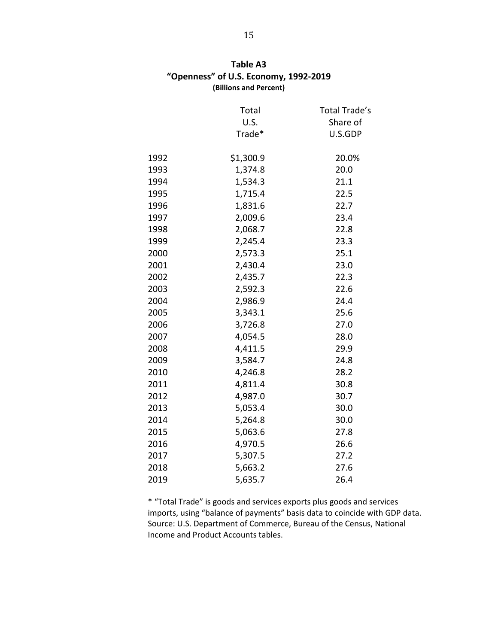|      | Total     | Total Trade's |
|------|-----------|---------------|
|      | U.S.      | Share of      |
|      | Trade*    | U.S.GDP       |
|      |           |               |
| 1992 | \$1,300.9 | 20.0%         |
| 1993 | 1,374.8   | 20.0          |
| 1994 | 1,534.3   | 21.1          |
| 1995 | 1,715.4   | 22.5          |
| 1996 | 1,831.6   | 22.7          |
| 1997 | 2,009.6   | 23.4          |
| 1998 | 2,068.7   | 22.8          |
| 1999 | 2,245.4   | 23.3          |
| 2000 | 2,573.3   | 25.1          |
| 2001 | 2,430.4   | 23.0          |
| 2002 | 2,435.7   | 22.3          |
| 2003 | 2,592.3   | 22.6          |
| 2004 | 2,986.9   | 24.4          |
| 2005 | 3,343.1   | 25.6          |
| 2006 | 3,726.8   | 27.0          |
| 2007 | 4,054.5   | 28.0          |
| 2008 | 4,411.5   | 29.9          |
| 2009 | 3,584.7   | 24.8          |
| 2010 | 4,246.8   | 28.2          |
| 2011 | 4,811.4   | 30.8          |
| 2012 | 4,987.0   | 30.7          |
| 2013 | 5,053.4   | 30.0          |
| 2014 | 5,264.8   | 30.0          |
| 2015 | 5,063.6   | 27.8          |
| 2016 | 4,970.5   | 26.6          |
| 2017 | 5,307.5   | 27.2          |
| 2018 | 5,663.2   | 27.6          |
| 2019 | 5,635.7   | 26.4          |

| Table A3                              |
|---------------------------------------|
| "Openness" of U.S. Economy, 1992-2019 |
| (Billions and Percent)                |

\* "Total Trade" is goods and services exports plus goods and services imports, using "balance of payments" basis data to coincide with GDP data. Source: U.S. Department of Commerce, Bureau of the Census, National Income and Product Accounts tables.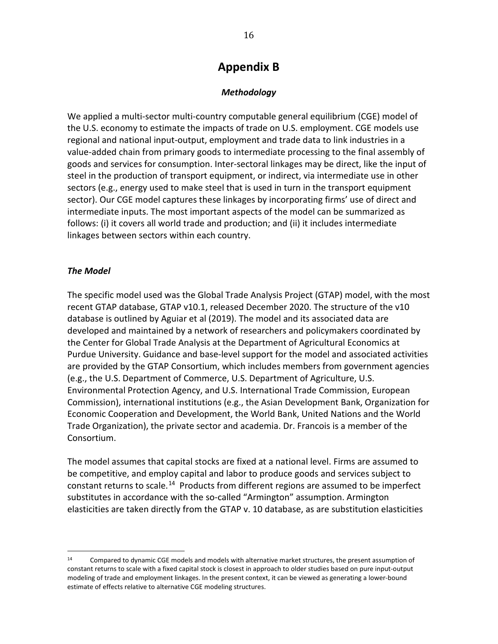## **Appendix B**

## *Methodology*

We applied a multi-sector multi-country computable general equilibrium (CGE) model of the U.S. economy to estimate the impacts of trade on U.S. employment. CGE models use regional and national input-output, employment and trade data to link industries in a value-added chain from primary goods to intermediate processing to the final assembly of goods and services for consumption. Inter-sectoral linkages may be direct, like the input of steel in the production of transport equipment, or indirect, via intermediate use in other sectors (e.g., energy used to make steel that is used in turn in the transport equipment sector). Our CGE model captures these linkages by incorporating firms' use of direct and intermediate inputs. The most important aspects of the model can be summarized as follows: (i) it covers all world trade and production; and (ii) it includes intermediate linkages between sectors within each country.

## *The Model*

The specific model used was the Global Trade Analysis Project (GTAP) model, with the most recent GTAP database, GTAP v10.1, released December 2020. The structure of the v10 database is outlined by Aguiar et al (2019). The model and its associated data are developed and maintained by a network of researchers and policymakers coordinated by the Center for Global Trade Analysis at the Department of Agricultural Economics at Purdue University. Guidance and base-level support for the model and associated activities are provided by the GTAP Consortium, which includes members from government agencies (e.g., the U.S. Department of Commerce, U.S. Department of Agriculture, U.S. Environmental Protection Agency, and U.S. International Trade Commission, European Commission), international institutions (e.g., the Asian Development Bank, Organization for Economic Cooperation and Development, the World Bank, United Nations and the World Trade Organization), the private sector and academia. Dr. Francois is a member of the Consortium.

The model assumes that capital stocks are fixed at a national level. Firms are assumed to be competitive, and employ capital and labor to produce goods and services subject to constant returns to scale.<sup>[14](#page-18-0)</sup> Products from different regions are assumed to be imperfect substitutes in accordance with the so-called "Armington" assumption. Armington elasticities are taken directly from the GTAP v. 10 database, as are substitution elasticities

<span id="page-18-0"></span><sup>14</sup> Compared to dynamic CGE models and models with alternative market structures, the present assumption of constant returns to scale with a fixed capital stock is closest in approach to older studies based on pure input-output modeling of trade and employment linkages. In the present context, it can be viewed as generating a lower-bound estimate of effects relative to alternative CGE modeling structures.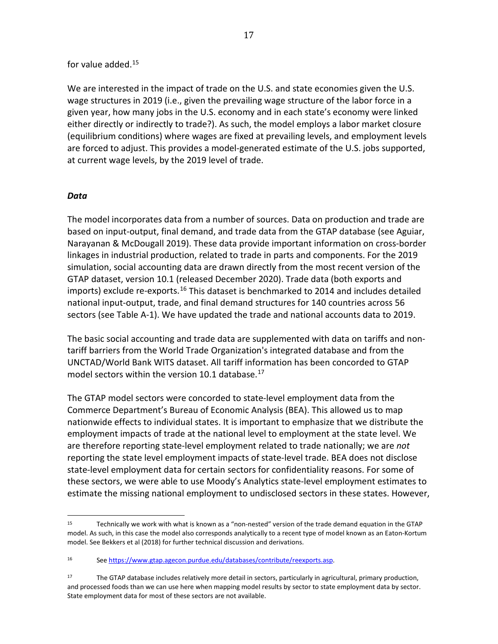### for value added.[15](#page-19-0)

We are interested in the impact of trade on the U.S. and state economies given the U.S. wage structures in 2019 (i.e., given the prevailing wage structure of the labor force in a given year, how many jobs in the U.S. economy and in each state's economy were linked either directly or indirectly to trade?). As such, the model employs a labor market closure (equilibrium conditions) where wages are fixed at prevailing levels, and employment levels are forced to adjust. This provides a model-generated estimate of the U.S. jobs supported, at current wage levels, by the 2019 level of trade.

#### *Data*

The model incorporates data from a number of sources. Data on production and trade are based on input-output, final demand, and trade data from the GTAP database (see Aguiar, Narayanan & McDougall 2019). These data provide important information on cross-border linkages in industrial production, related to trade in parts and components. For the 2019 simulation, social accounting data are drawn directly from the most recent version of the GTAP dataset, version 10.1 (released December 2020). Trade data (both exports and imports) exclude re-exports.<sup>[16](#page-19-1)</sup> This dataset is benchmarked to 2014 and includes detailed national input-output, trade, and final demand structures for 140 countries across 56 sectors (see Table A-1). We have updated the trade and national accounts data to 2019.

The basic social accounting and trade data are supplemented with data on tariffs and nontariff barriers from the World Trade Organization's integrated database and from the UNCTAD/World Bank WITS dataset. All tariff information has been concorded to GTAP model sectors within the version 10.1 database.<sup>[17](#page-19-2)</sup>

The GTAP model sectors were concorded to state-level employment data from the Commerce Department's Bureau of Economic Analysis (BEA). This allowed us to map nationwide effects to individual states. It is important to emphasize that we distribute the employment impacts of trade at the national level to employment at the state level. We are therefore reporting state-level employment related to trade nationally; we are *not* reporting the state level employment impacts of state-level trade. BEA does not disclose state-level employment data for certain sectors for confidentiality reasons. For some of these sectors, we were able to use Moody's Analytics state-level employment estimates to estimate the missing national employment to undisclosed sectors in these states. However,

<span id="page-19-0"></span><sup>15</sup> Technically we work with what is known as a "non-nested" version of the trade demand equation in the GTAP model. As such, in this case the model also corresponds analytically to a recent type of model known as an Eaton-Kortum model. See Bekkers et al (2018) for further technical discussion and derivations.

<span id="page-19-1"></span><sup>16</sup> See [https://www.gtap.agecon.purdue.edu/databases/contribute/reexports.asp.](https://www.gtap.agecon.purdue.edu/databases/contribute/reexports.asp)

<span id="page-19-2"></span><sup>17</sup> The GTAP database includes relatively more detail in sectors, particularly in agricultural, primary production, and processed foods than we can use here when mapping model results by sector to state employment data by sector. State employment data for most of these sectors are not available.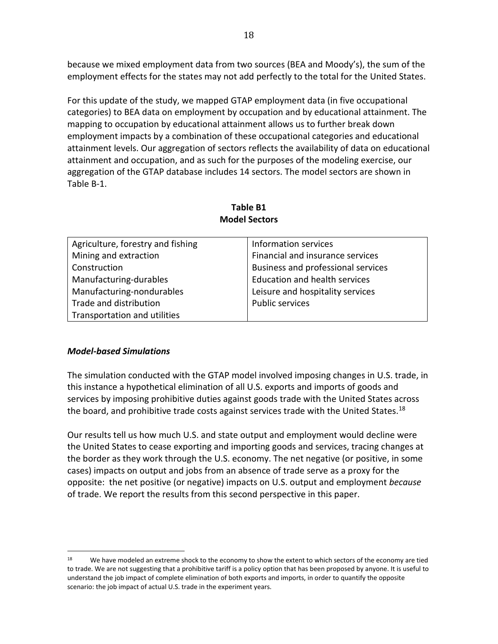because we mixed employment data from two sources (BEA and Moody's), the sum of the employment effects for the states may not add perfectly to the total for the United States.

For this update of the study, we mapped GTAP employment data (in five occupational categories) to BEA data on employment by occupation and by educational attainment. The mapping to occupation by educational attainment allows us to further break down employment impacts by a combination of these occupational categories and educational attainment levels. Our aggregation of sectors reflects the availability of data on educational attainment and occupation, and as such for the purposes of the modeling exercise, our aggregation of the GTAP database includes 14 sectors. The model sectors are shown in Table B-1.

| Agriculture, forestry and fishing | Information services                 |
|-----------------------------------|--------------------------------------|
| Mining and extraction             | Financial and insurance services     |
| Construction                      | Business and professional services   |
| Manufacturing-durables            | <b>Education and health services</b> |
| Manufacturing-nondurables         | Leisure and hospitality services     |
| Trade and distribution            | <b>Public services</b>               |
| Transportation and utilities      |                                      |

#### **Table B1 Model Sectors**

## *Model-based Simulations*

The simulation conducted with the GTAP model involved imposing changes in U.S. trade, in this instance a hypothetical elimination of all U.S. exports and imports of goods and services by imposing prohibitive duties against goods trade with the United States across the board, and prohibitive trade costs against services trade with the United States.<sup>[18](#page-20-0)</sup>

Our results tell us how much U.S. and state output and employment would decline were the United States to cease exporting and importing goods and services, tracing changes at the border as they work through the U.S. economy. The net negative (or positive, in some cases) impacts on output and jobs from an absence of trade serve as a proxy for the opposite: the net positive (or negative) impacts on U.S. output and employment *because* of trade. We report the results from this second perspective in this paper.

<span id="page-20-0"></span><sup>&</sup>lt;sup>18</sup> We have modeled an extreme shock to the economy to show the extent to which sectors of the economy are tied to trade. We are not suggesting that a prohibitive tariff is a policy option that has been proposed by anyone. It is useful to understand the job impact of complete elimination of both exports and imports, in order to quantify the opposite scenario: the job impact of actual U.S. trade in the experiment years.